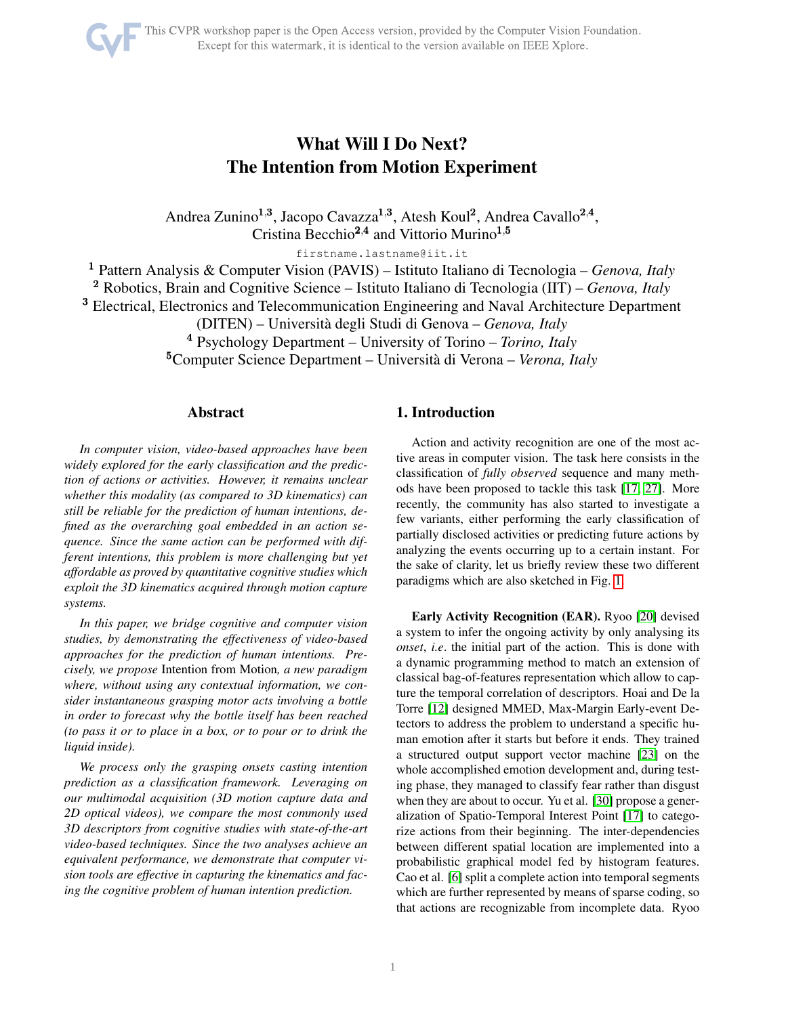# What Will I Do Next? The Intention from Motion Experiment

Andrea Zunino<sup>1,3</sup>, Jacopo Cavazza<sup>1,3</sup>, Atesh Koul<sup>2</sup>, Andrea Cavallo<sup>2,4</sup>, Cristina Becchio<sup>2,4</sup> and Vittorio Murino<sup>1,5</sup>

firstname.lastname@iit.it

<sup>1</sup> Pattern Analysis & Computer Vision (PAVIS) – Istituto Italiano di Tecnologia – *Genova, Italy* <sup>2</sup> Robotics, Brain and Cognitive Science – Istituto Italiano di Tecnologia (IIT) – *Genova, Italy* <sup>3</sup> Electrical, Electronics and Telecommunication Engineering and Naval Architecture Department (DITEN) – Universita degli Studi di Genova – ` *Genova, Italy* <sup>4</sup> Psychology Department – University of Torino – *Torino, Italy* <sup>5</sup>Computer Science Department – Università di Verona – *Verona, Italy* 

# Abstract

*In computer vision, video-based approaches have been widely explored for the early classification and the prediction of actions or activities. However, it remains unclear whether this modality (as compared to 3D kinematics) can still be reliable for the prediction of human intentions, defined as the overarching goal embedded in an action sequence. Since the same action can be performed with different intentions, this problem is more challenging but yet affordable as proved by quantitative cognitive studies which exploit the 3D kinematics acquired through motion capture systems.*

*In this paper, we bridge cognitive and computer vision studies, by demonstrating the effectiveness of video-based approaches for the prediction of human intentions. Precisely, we propose* Intention from Motion*, a new paradigm where, without using any contextual information, we consider instantaneous grasping motor acts involving a bottle in order to forecast why the bottle itself has been reached (to pass it or to place in a box, or to pour or to drink the liquid inside).*

*We process only the grasping onsets casting intention prediction as a classification framework. Leveraging on our multimodal acquisition (3D motion capture data and 2D optical videos), we compare the most commonly used 3D descriptors from cognitive studies with state-of-the-art video-based techniques. Since the two analyses achieve an equivalent performance, we demonstrate that computer vision tools are effective in capturing the kinematics and facing the cognitive problem of human intention prediction.*

# 1. Introduction

Action and activity recognition are one of the most active areas in computer vision. The task here consists in the classification of *fully observed* sequence and many methods have been proposed to tackle this task [\[17,](#page-7-0) [27\]](#page-7-1). More recently, the community has also started to investigate a few variants, either performing the early classification of partially disclosed activities or predicting future actions by analyzing the events occurring up to a certain instant. For the sake of clarity, let us briefly review these two different paradigms which are also sketched in Fig. [1.](#page-1-0)

Early Activity Recognition (EAR). Ryoo [\[20\]](#page-7-2) devised a system to infer the ongoing activity by only analysing its *onset*, *i.e*. the initial part of the action. This is done with a dynamic programming method to match an extension of classical bag-of-features representation which allow to capture the temporal correlation of descriptors. Hoai and De la Torre [\[12\]](#page-7-3) designed MMED, Max-Margin Early-event Detectors to address the problem to understand a specific human emotion after it starts but before it ends. They trained a structured output support vector machine [\[23\]](#page-7-4) on the whole accomplished emotion development and, during testing phase, they managed to classify fear rather than disgust when they are about to occur. Yu et al. [\[30\]](#page-7-5) propose a generalization of Spatio-Temporal Interest Point [\[17\]](#page-7-0) to categorize actions from their beginning. The inter-dependencies between different spatial location are implemented into a probabilistic graphical model fed by histogram features. Cao et al. [\[6\]](#page-7-6) split a complete action into temporal segments which are further represented by means of sparse coding, so that actions are recognizable from incomplete data. Ryoo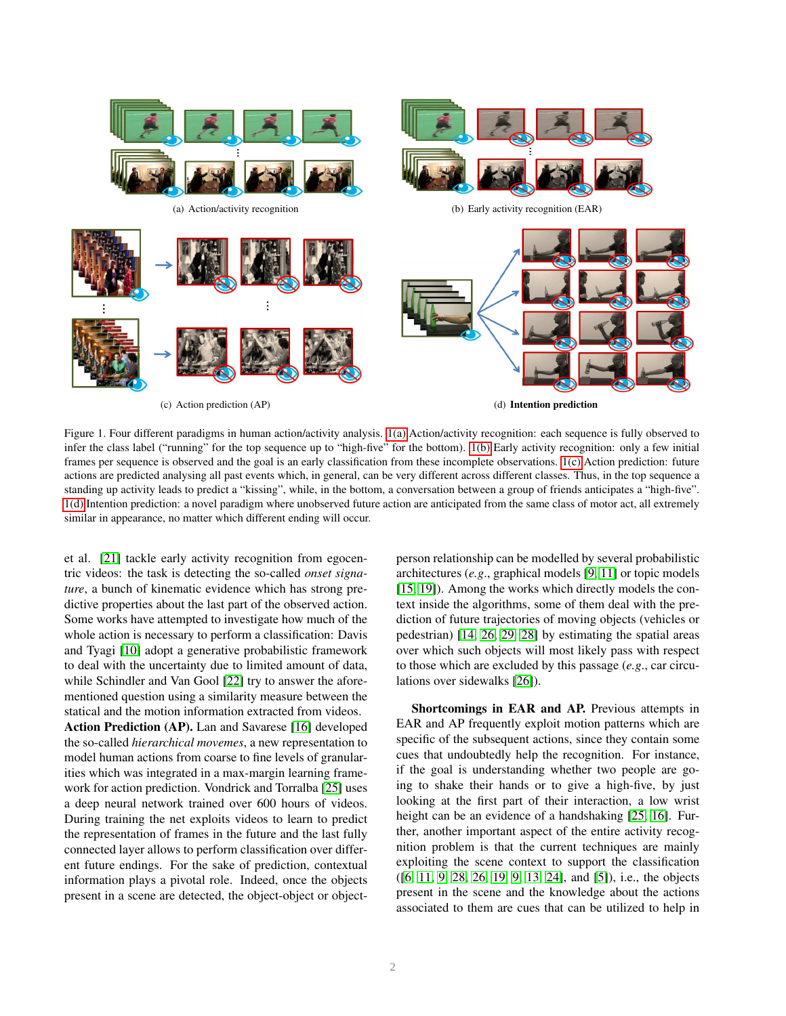<span id="page-1-3"></span><span id="page-1-2"></span><span id="page-1-1"></span>

<span id="page-1-0"></span>Figure 1. Four different paradigms in human action/activity analysis. [1\(a\)](#page-1-1) Action/activity recognition: each sequence is fully observed to infer the class label ("running" for the top sequence up to "high-five" for the bottom). [1\(b\)](#page-1-2) Early activity recognition: only a few initial frames per sequence is observed and the goal is an early classification from these incomplete observations. [1\(c\)](#page-1-3) Action prediction: future actions are predicted analysing all past events which, in general, can be very different across different classes. Thus, in the top sequence a standing up activity leads to predict a "kissing", while, in the bottom, a conversation between a group of friends anticipates a "high-five". [1\(d\)](#page-1-4) Intention prediction: a novel paradigm where unobserved future action are anticipated from the same class of motor act, all extremely similar in appearance, no matter which different ending will occur.

et al. [\[21\]](#page-7-7) tackle early activity recognition from egocentric videos: the task is detecting the so-called *onset signature*, a bunch of kinematic evidence which has strong predictive properties about the last part of the observed action. Some works have attempted to investigate how much of the whole action is necessary to perform a classification: Davis and Tyagi [\[10\]](#page-7-8) adopt a generative probabilistic framework to deal with the uncertainty due to limited amount of data, while Schindler and Van Gool [\[22\]](#page-7-9) try to answer the aforementioned question using a similarity measure between the statical and the motion information extracted from videos.

Action Prediction (AP). Lan and Savarese [\[16\]](#page-7-10) developed the so-called *hierarchical movemes*, a new representation to model human actions from coarse to fine levels of granularities which was integrated in a max-margin learning framework for action prediction. Vondrick and Torralba [\[25\]](#page-7-11) uses a deep neural network trained over 600 hours of videos. During training the net exploits videos to learn to predict the representation of frames in the future and the last fully connected layer allows to perform classification over different future endings. For the sake of prediction, contextual information plays a pivotal role. Indeed, once the objects present in a scene are detected, the object-object or object<span id="page-1-4"></span>person relationship can be modelled by several probabilistic architectures (*e.g*., graphical models [\[9,](#page-7-12) [11\]](#page-7-13) or topic models [\[15,](#page-7-14) [19\]](#page-7-15)). Among the works which directly models the context inside the algorithms, some of them deal with the prediction of future trajectories of moving objects (vehicles or pedestrian) [\[14,](#page-7-16) [26,](#page-7-17) [29,](#page-7-18) [28\]](#page-7-19) by estimating the spatial areas over which such objects will most likely pass with respect to those which are excluded by this passage (*e.g*., car circulations over sidewalks [\[26\]](#page-7-17)).

Shortcomings in EAR and AP. Previous attempts in EAR and AP frequently exploit motion patterns which are specific of the subsequent actions, since they contain some cues that undoubtedly help the recognition. For instance, if the goal is understanding whether two people are going to shake their hands or to give a high-five, by just looking at the first part of their interaction, a low wrist height can be an evidence of a handshaking [\[25,](#page-7-11) [16\]](#page-7-10). Further, another important aspect of the entire activity recognition problem is that the current techniques are mainly exploiting the scene context to support the classification ([\[6,](#page-7-6) [11,](#page-7-13) [9,](#page-7-12) [28,](#page-7-19) [26,](#page-7-17) [19,](#page-7-15) [9,](#page-7-12) [13,](#page-7-20) [24\]](#page-7-21), and [\[5\]](#page-7-22)), i.e., the objects present in the scene and the knowledge about the actions associated to them are cues that can be utilized to help in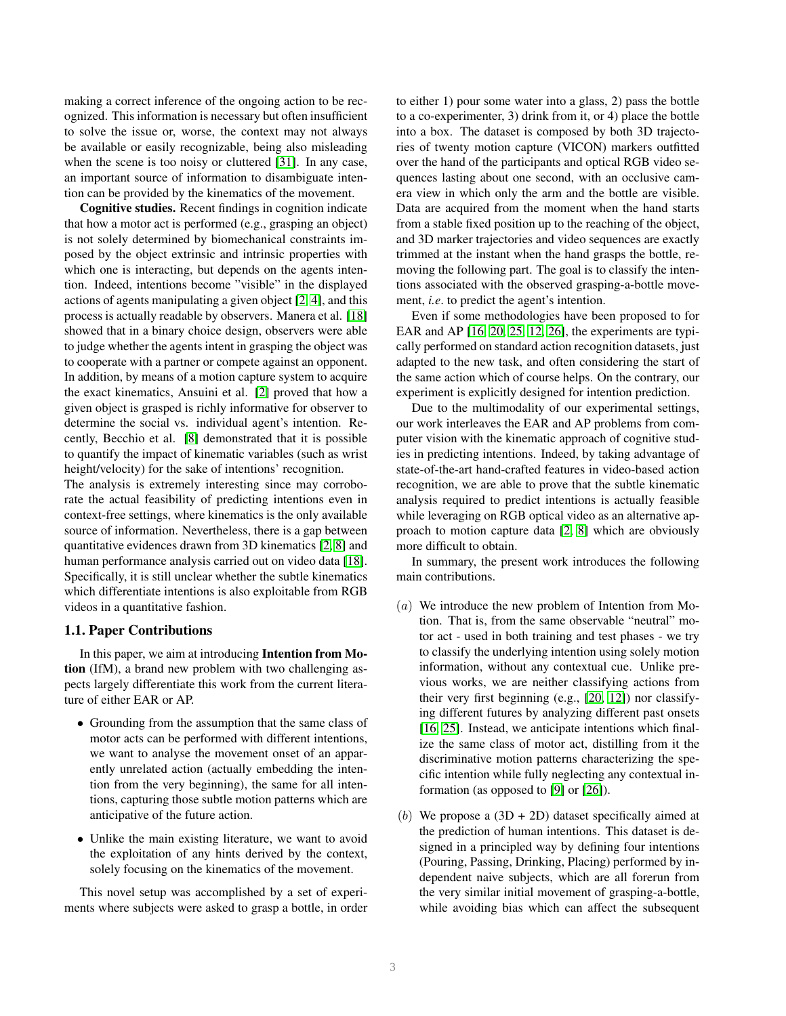making a correct inference of the ongoing action to be recognized. This information is necessary but often insufficient to solve the issue or, worse, the context may not always be available or easily recognizable, being also misleading when the scene is too noisy or cluttered [\[31\]](#page-7-23). In any case, an important source of information to disambiguate intention can be provided by the kinematics of the movement.

Cognitive studies. Recent findings in cognition indicate that how a motor act is performed (e.g., grasping an object) is not solely determined by biomechanical constraints imposed by the object extrinsic and intrinsic properties with which one is interacting, but depends on the agents intention. Indeed, intentions become "visible" in the displayed actions of agents manipulating a given object [\[2,](#page-7-24) [4\]](#page-7-25), and this process is actually readable by observers. Manera et al. [\[18\]](#page-7-26) showed that in a binary choice design, observers were able to judge whether the agents intent in grasping the object was to cooperate with a partner or compete against an opponent. In addition, by means of a motion capture system to acquire the exact kinematics, Ansuini et al. [\[2\]](#page-7-24) proved that how a given object is grasped is richly informative for observer to determine the social vs. individual agent's intention. Recently, Becchio et al. [\[8\]](#page-7-27) demonstrated that it is possible to quantify the impact of kinematic variables (such as wrist height/velocity) for the sake of intentions' recognition.

The analysis is extremely interesting since may corroborate the actual feasibility of predicting intentions even in context-free settings, where kinematics is the only available source of information. Nevertheless, there is a gap between quantitative evidences drawn from 3D kinematics [\[2,](#page-7-24) [8\]](#page-7-27) and human performance analysis carried out on video data [\[18\]](#page-7-26). Specifically, it is still unclear whether the subtle kinematics which differentiate intentions is also exploitable from RGB videos in a quantitative fashion.

#### 1.1. Paper Contributions

In this paper, we aim at introducing Intention from Motion (IfM), a brand new problem with two challenging aspects largely differentiate this work from the current literature of either EAR or AP.

- Grounding from the assumption that the same class of motor acts can be performed with different intentions, we want to analyse the movement onset of an apparently unrelated action (actually embedding the intention from the very beginning), the same for all intentions, capturing those subtle motion patterns which are anticipative of the future action.
- Unlike the main existing literature, we want to avoid the exploitation of any hints derived by the context, solely focusing on the kinematics of the movement.

This novel setup was accomplished by a set of experiments where subjects were asked to grasp a bottle, in order to either 1) pour some water into a glass, 2) pass the bottle to a co-experimenter, 3) drink from it, or 4) place the bottle into a box. The dataset is composed by both 3D trajectories of twenty motion capture (VICON) markers outfitted over the hand of the participants and optical RGB video sequences lasting about one second, with an occlusive camera view in which only the arm and the bottle are visible. Data are acquired from the moment when the hand starts from a stable fixed position up to the reaching of the object, and 3D marker trajectories and video sequences are exactly trimmed at the instant when the hand grasps the bottle, removing the following part. The goal is to classify the intentions associated with the observed grasping-a-bottle movement, *i.e*. to predict the agent's intention.

Even if some methodologies have been proposed to for EAR and AP [\[16,](#page-7-10) [20,](#page-7-2) [25,](#page-7-11) [12,](#page-7-3) [26\]](#page-7-17), the experiments are typically performed on standard action recognition datasets, just adapted to the new task, and often considering the start of the same action which of course helps. On the contrary, our experiment is explicitly designed for intention prediction.

Due to the multimodality of our experimental settings, our work interleaves the EAR and AP problems from computer vision with the kinematic approach of cognitive studies in predicting intentions. Indeed, by taking advantage of state-of-the-art hand-crafted features in video-based action recognition, we are able to prove that the subtle kinematic analysis required to predict intentions is actually feasible while leveraging on RGB optical video as an alternative approach to motion capture data [\[2,](#page-7-24) [8\]](#page-7-27) which are obviously more difficult to obtain.

In summary, the present work introduces the following main contributions.

- $(a)$  We introduce the new problem of Intention from Motion. That is, from the same observable "neutral" motor act - used in both training and test phases - we try to classify the underlying intention using solely motion information, without any contextual cue. Unlike previous works, we are neither classifying actions from their very first beginning (e.g., [\[20,](#page-7-2) [12\]](#page-7-3)) nor classifying different futures by analyzing different past onsets [\[16,](#page-7-10) [25\]](#page-7-11). Instead, we anticipate intentions which finalize the same class of motor act, distilling from it the discriminative motion patterns characterizing the specific intention while fully neglecting any contextual information (as opposed to [\[9\]](#page-7-12) or [\[26\]](#page-7-17)).
- (b) We propose a  $(3D + 2D)$  dataset specifically aimed at the prediction of human intentions. This dataset is designed in a principled way by defining four intentions (Pouring, Passing, Drinking, Placing) performed by independent naive subjects, which are all forerun from the very similar initial movement of grasping-a-bottle, while avoiding bias which can affect the subsequent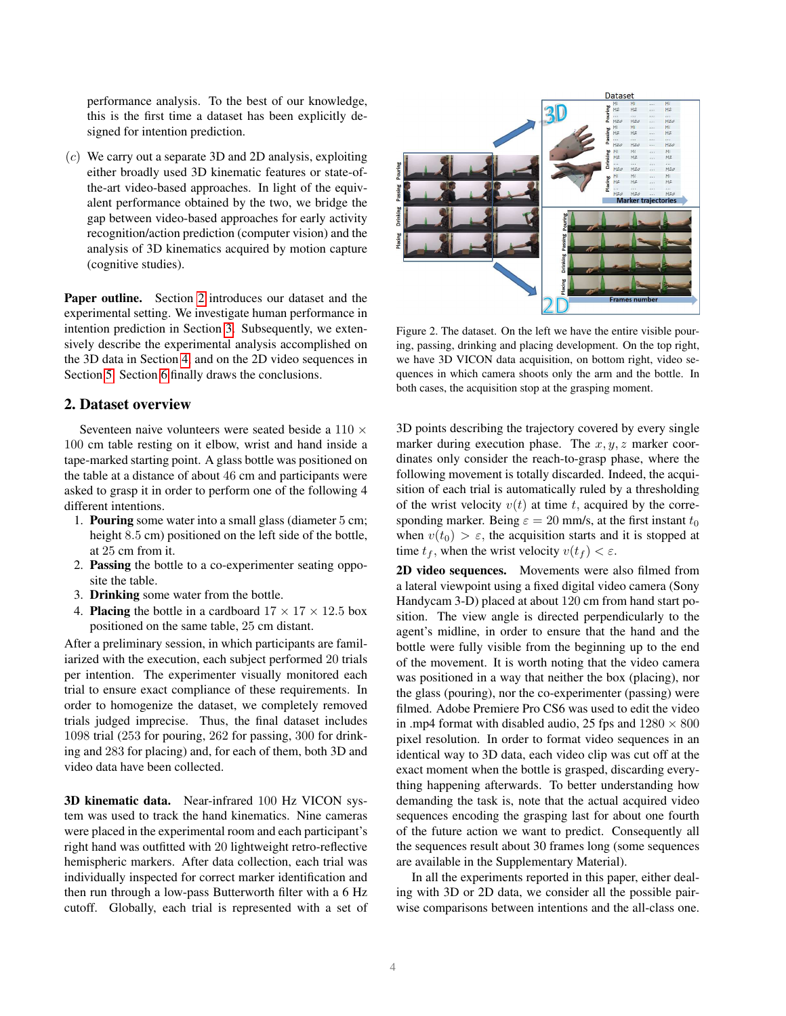performance analysis. To the best of our knowledge, this is the first time a dataset has been explicitly designed for intention prediction.

 $(c)$  We carry out a separate 3D and 2D analysis, exploiting either broadly used 3D kinematic features or state-ofthe-art video-based approaches. In light of the equivalent performance obtained by the two, we bridge the gap between video-based approaches for early activity recognition/action prediction (computer vision) and the analysis of 3D kinematics acquired by motion capture (cognitive studies).

Paper outline. Section [2](#page-3-0) introduces our dataset and the experimental setting. We investigate human performance in intention prediction in Section [3.](#page-4-0) Subsequently, we extensively describe the experimental analysis accomplished on the 3D data in Section [4,](#page-4-1) and on the 2D video sequences in Section [5.](#page-4-2) Section [6](#page-6-0) finally draws the conclusions.

# <span id="page-3-0"></span>2. Dataset overview

Seventeen naive volunteers were seated beside a  $110 \times$ 100 cm table resting on it elbow, wrist and hand inside a tape-marked starting point. A glass bottle was positioned on the table at a distance of about 46 cm and participants were asked to grasp it in order to perform one of the following 4 different intentions.

- 1. Pouring some water into a small glass (diameter 5 cm; height 8.5 cm) positioned on the left side of the bottle, at 25 cm from it.
- 2. Passing the bottle to a co-experimenter seating opposite the table.
- 3. Drinking some water from the bottle.
- 4. **Placing** the bottle in a cardboard  $17 \times 17 \times 12.5$  box positioned on the same table, 25 cm distant.

After a preliminary session, in which participants are familiarized with the execution, each subject performed 20 trials per intention. The experimenter visually monitored each trial to ensure exact compliance of these requirements. In order to homogenize the dataset, we completely removed trials judged imprecise. Thus, the final dataset includes 1098 trial (253 for pouring, 262 for passing, 300 for drinking and 283 for placing) and, for each of them, both 3D and video data have been collected.

3D kinematic data. Near-infrared 100 Hz VICON system was used to track the hand kinematics. Nine cameras were placed in the experimental room and each participant's right hand was outfitted with 20 lightweight retro-reflective hemispheric markers. After data collection, each trial was individually inspected for correct marker identification and then run through a low-pass Butterworth filter with a 6 Hz cutoff. Globally, each trial is represented with a set of



Figure 2. The dataset. On the left we have the entire visible pouring, passing, drinking and placing development. On the top right, we have 3D VICON data acquisition, on bottom right, video sequences in which camera shoots only the arm and the bottle. In both cases, the acquisition stop at the grasping moment.

3D points describing the trajectory covered by every single marker during execution phase. The  $x, y, z$  marker coordinates only consider the reach-to-grasp phase, where the following movement is totally discarded. Indeed, the acquisition of each trial is automatically ruled by a thresholding of the wrist velocity  $v(t)$  at time t, acquired by the corresponding marker. Being  $\varepsilon = 20$  mm/s, at the first instant  $t_0$ when  $v(t_0) > \varepsilon$ , the acquisition starts and it is stopped at time  $t_f$ , when the wrist velocity  $v(t_f) < \varepsilon$ .

2D video sequences. Movements were also filmed from a lateral viewpoint using a fixed digital video camera (Sony Handycam 3-D) placed at about 120 cm from hand start position. The view angle is directed perpendicularly to the agent's midline, in order to ensure that the hand and the bottle were fully visible from the beginning up to the end of the movement. It is worth noting that the video camera was positioned in a way that neither the box (placing), nor the glass (pouring), nor the co-experimenter (passing) were filmed. Adobe Premiere Pro CS6 was used to edit the video in .mp4 format with disabled audio, 25 fps and  $1280 \times 800$ pixel resolution. In order to format video sequences in an identical way to 3D data, each video clip was cut off at the exact moment when the bottle is grasped, discarding everything happening afterwards. To better understanding how demanding the task is, note that the actual acquired video sequences encoding the grasping last for about one fourth of the future action we want to predict. Consequently all the sequences result about 30 frames long (some sequences are available in the Supplementary Material).

In all the experiments reported in this paper, either dealing with 3D or 2D data, we consider all the possible pairwise comparisons between intentions and the all-class one.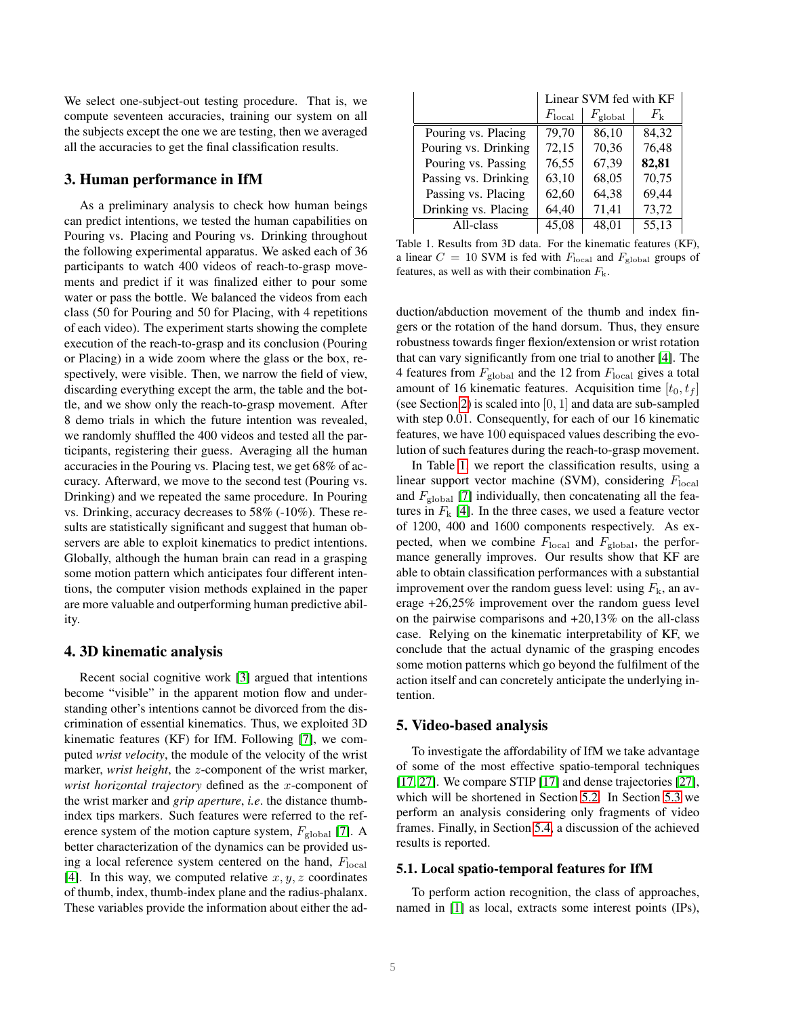We select one-subject-out testing procedure. That is, we compute seventeen accuracies, training our system on all the subjects except the one we are testing, then we averaged all the accuracies to get the final classification results.

# <span id="page-4-0"></span>3. Human performance in IfM

As a preliminary analysis to check how human beings can predict intentions, we tested the human capabilities on Pouring vs. Placing and Pouring vs. Drinking throughout the following experimental apparatus. We asked each of 36 participants to watch 400 videos of reach-to-grasp movements and predict if it was finalized either to pour some water or pass the bottle. We balanced the videos from each class (50 for Pouring and 50 for Placing, with 4 repetitions of each video). The experiment starts showing the complete execution of the reach-to-grasp and its conclusion (Pouring or Placing) in a wide zoom where the glass or the box, respectively, were visible. Then, we narrow the field of view, discarding everything except the arm, the table and the bottle, and we show only the reach-to-grasp movement. After 8 demo trials in which the future intention was revealed, we randomly shuffled the 400 videos and tested all the participants, registering their guess. Averaging all the human accuracies in the Pouring vs. Placing test, we get 68% of accuracy. Afterward, we move to the second test (Pouring vs. Drinking) and we repeated the same procedure. In Pouring vs. Drinking, accuracy decreases to 58% (-10%). These results are statistically significant and suggest that human observers are able to exploit kinematics to predict intentions. Globally, although the human brain can read in a grasping some motion pattern which anticipates four different intentions, the computer vision methods explained in the paper are more valuable and outperforming human predictive ability.

## <span id="page-4-1"></span>4. 3D kinematic analysis

Recent social cognitive work [\[3\]](#page-7-28) argued that intentions become "visible" in the apparent motion flow and understanding other's intentions cannot be divorced from the discrimination of essential kinematics. Thus, we exploited 3D kinematic features (KF) for IfM. Following [\[7\]](#page-7-29), we computed *wrist velocity*, the module of the velocity of the wrist marker, *wrist height*, the z-component of the wrist marker, *wrist horizontal trajectory* defined as the x-component of the wrist marker and *grip aperture*, *i.e*. the distance thumbindex tips markers. Such features were referred to the reference system of the motion capture system,  $F_{\text{global}}$  [\[7\]](#page-7-29). A better characterization of the dynamics can be provided using a local reference system centered on the hand,  $F_{\text{local}}$ [\[4\]](#page-7-25). In this way, we computed relative  $x, y, z$  coordinates of thumb, index, thumb-index plane and the radius-phalanx. These variables provide the information about either the ad-

|                      | Linear SVM fed with KF |                     |                    |  |  |
|----------------------|------------------------|---------------------|--------------------|--|--|
|                      | $F_{\text{local}}$     | $F_{\text{global}}$ | $F_{\mathbf{k}}$   |  |  |
| Pouring vs. Placing  | 79,70                  | 86,10               | 84,32              |  |  |
| Pouring vs. Drinking | 72,15                  | 70,36               | 76,48              |  |  |
| Pouring vs. Passing  | 76,55                  | 67,39               | 82,81              |  |  |
| Passing vs. Drinking | 63,10                  | 68,05               | 70,75              |  |  |
| Passing vs. Placing  | 62,60                  | 64,38               | 69,44              |  |  |
| Drinking vs. Placing | 64,40                  | 71,41               | 73,72              |  |  |
| All-class            | 45,08                  | 48,01               | $\overline{55,13}$ |  |  |

<span id="page-4-3"></span>Table 1. Results from 3D data. For the kinematic features (KF), a linear  $C = 10$  SVM is fed with  $F_{\text{local}}$  and  $F_{\text{global}}$  groups of features, as well as with their combination  $F_k$ .

duction/abduction movement of the thumb and index fingers or the rotation of the hand dorsum. Thus, they ensure robustness towards finger flexion/extension or wrist rotation that can vary significantly from one trial to another [\[4\]](#page-7-25). The 4 features from  $F_{\text{global}}$  and the 12 from  $F_{\text{local}}$  gives a total amount of 16 kinematic features. Acquisition time  $[t_0, t_f]$ (see Section [2\)](#page-3-0) is scaled into  $[0, 1]$  and data are sub-sampled with step 0.01. Consequently, for each of our 16 kinematic features, we have 100 equispaced values describing the evolution of such features during the reach-to-grasp movement.

In Table [1,](#page-4-3) we report the classification results, using a linear support vector machine (SVM), considering  $F_{\text{local}}$ and  $F_{\text{global}}$  [\[7\]](#page-7-29) individually, then concatenating all the features in  $F_k$  [\[4\]](#page-7-25). In the three cases, we used a feature vector of 1200, 400 and 1600 components respectively. As expected, when we combine  $F_{\text{local}}$  and  $F_{\text{global}}$ , the performance generally improves. Our results show that KF are able to obtain classification performances with a substantial improvement over the random guess level: using  $F_k$ , an average +26,25% improvement over the random guess level on the pairwise comparisons and  $+20,13\%$  on the all-class case. Relying on the kinematic interpretability of KF, we conclude that the actual dynamic of the grasping encodes some motion patterns which go beyond the fulfilment of the action itself and can concretely anticipate the underlying intention.

## <span id="page-4-2"></span>5. Video-based analysis

To investigate the affordability of IfM we take advantage of some of the most effective spatio-temporal techniques [\[17,](#page-7-0) [27\]](#page-7-1). We compare STIP [\[17\]](#page-7-0) and dense trajectories [\[27\]](#page-7-1), which will be shortened in Section [5.2.](#page-5-0) In Section [5.3](#page-6-1) we perform an analysis considering only fragments of video frames. Finally, in Section [5.4,](#page-6-2) a discussion of the achieved results is reported.

#### <span id="page-4-4"></span>5.1. Local spatio-temporal features for IfM

To perform action recognition, the class of approaches, named in [\[1\]](#page-7-30) as local, extracts some interest points (IPs),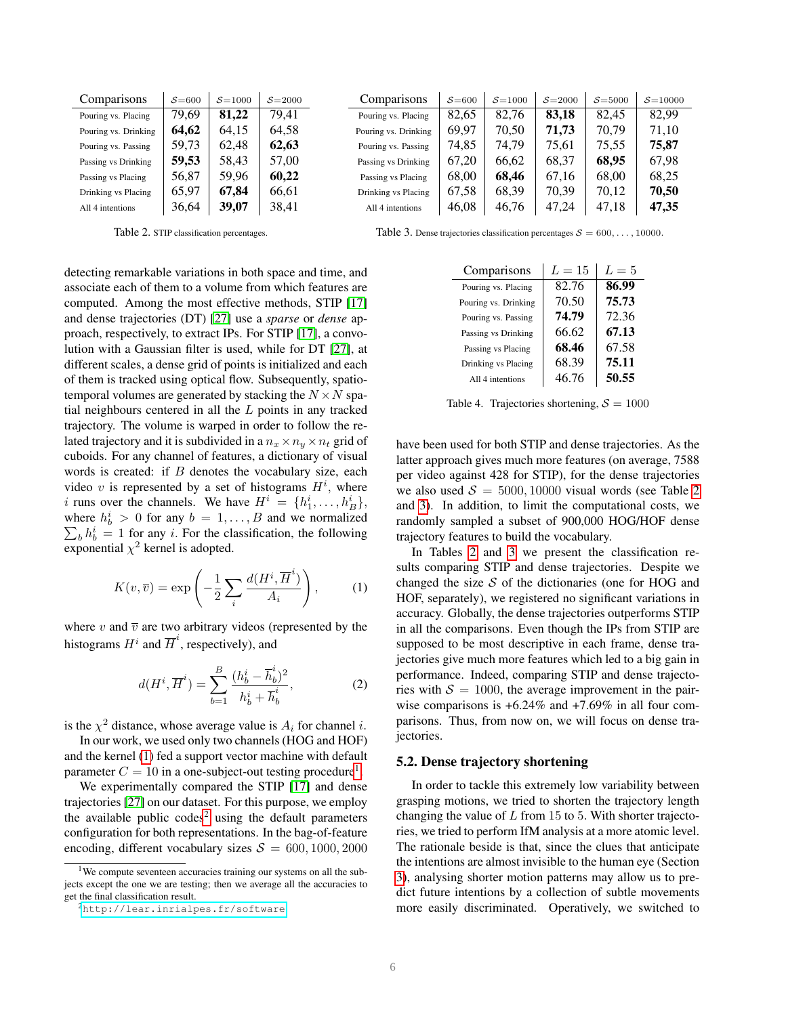| Comparisons          | $S = 600$ | $S = 1000$ | $S = 2000$ |
|----------------------|-----------|------------|------------|
| Pouring vs. Placing  | 79,69     | 81,22      | 79.41      |
| Pouring vs. Drinking | 64,62     | 64,15      | 64,58      |
| Pouring vs. Passing  | 59,73     | 62,48      | 62,63      |
| Passing vs Drinking  | 59,53     | 58,43      | 57,00      |
| Passing vs Placing   | 56,87     | 59,96      | 60,22      |
| Drinking vs Placing  | 65,97     | 67,84      | 66,61      |
| All 4 intentions     | 36.64     | 39,07      | 38,41      |

<span id="page-5-4"></span>Table 2. STIP classification percentages.

All 4 intentions 46,08 46,76 47,24 47,18 47,35 Table 3. Dense trajectories classification percentages  $S = 600, \ldots, 10000$ .

Comparisons  $S = 600 \mid S = 1000 \mid S = 2000 \mid S = 5000 \mid S = 10000$ Pouring vs. Placing |  $82,65$  |  $82,76$  | **83,18** |  $82,45$  |  $82,99$ Pouring vs. Drinking |  $69,97$  |  $70,50$  |  $71,73$  |  $70,79$  |  $71,10$ Pouring vs. Passing 74,85 74,79 75,61 75,55 75,87 Passing vs Drinking  $\begin{array}{|c|c|c|c|c|c|c|c|c|} \hline \end{array}$  67,20  $\begin{array}{|c|c|c|c|c|c|} \hline \end{array}$  68,37  $\begin{array}{|c|c|c|c|c|c|} \hline \end{array}$  67,98 Passing vs Placing  $\begin{array}{|c|c|c|c|c|c|c|c|c|} \hline \end{array}$  68,00 68,25 Drinking vs Placing |  $67,58$  |  $68,39$  |  $70,39$  |  $70,12$  |  $70,50$ 

detecting remarkable variations in both space and time, and associate each of them to a volume from which features are computed. Among the most effective methods, STIP [\[17\]](#page-7-0) and dense trajectories (DT) [\[27\]](#page-7-1) use a *sparse* or *dense* approach, respectively, to extract IPs. For STIP [\[17\]](#page-7-0), a convolution with a Gaussian filter is used, while for DT [\[27\]](#page-7-1), at different scales, a dense grid of points is initialized and each of them is tracked using optical flow. Subsequently, spatiotemporal volumes are generated by stacking the  $N \times N$  spatial neighbours centered in all the L points in any tracked trajectory. The volume is warped in order to follow the related trajectory and it is subdivided in a  $n_x \times n_y \times n_t$  grid of cuboids. For any channel of features, a dictionary of visual words is created: if  $B$  denotes the vocabulary size, each video v is represented by a set of histograms  $H^i$ , where i runs over the channels. We have  $H^i = \{h_1^i, \dots, h_B^i\},\$ where  $h_b^i > 0$  for any  $b = 1, ..., B$  and we normalized  $\sum_b h_b^i = 1$  for any *i*. For the classification, the following exponential  $\chi^2$  kernel is adopted.

<span id="page-5-1"></span>
$$
K(v,\overline{v}) = \exp\left(-\frac{1}{2}\sum_{i}\frac{d(H^i,\overline{H}^i)}{A_i}\right),\qquad(1)
$$

where v and  $\overline{v}$  are two arbitrary videos (represented by the histograms  $H^i$  and  $\overline{H}^i$ , respectively), and

$$
d(H^{i}, \overline{H}^{i}) = \sum_{b=1}^{B} \frac{(h_b^{i} - \overline{h}_b^{i})^2}{h_b^{i} + \overline{h}_b^{i}},
$$
 (2)

is the  $\chi^2$  distance, whose average value is  $A_i$  for channel i.

In our work, we used only two channels (HOG and HOF) and the kernel [\(1\)](#page-5-1) fed a support vector machine with default parameter  $C = 10$  $C = 10$  $C = 10$  in a one-subject-out testing procedure<sup>1</sup>.

We experimentally compared the STIP [\[17\]](#page-7-0) and dense trajectories [\[27\]](#page-7-1) on our dataset. For this purpose, we employ the available public  $\text{codes}^2$  $\text{codes}^2$  using the default parameters configuration for both representations. In the bag-of-feature encoding, different vocabulary sizes  $S = 600, 1000, 2000$ 

<span id="page-5-5"></span>Comparisons  $L = 15 \mid L = 5$ Pouring vs. Placing  $\parallel$  82.76  $\parallel$  86.99 Pouring vs. Drinking | 70.50 | 75.73 Pouring vs. Passing | **74.79** | 72.36 Passing vs Drinking  $\vert$  66.62  $\vert$  67.13 Passing vs Placing  $\vert$  68.46  $\vert$  67.58

<span id="page-5-6"></span>Table 4. Trajectories shortening,  $S = 1000$ 

Drinking vs Placing  $\vert$  68.39 75.11 All 4 intentions  $46.76$  50.55

have been used for both STIP and dense trajectories. As the latter approach gives much more features (on average, 7588 per video against 428 for STIP), for the dense trajectories we also used  $S = 5000, 10000$  visual words (see Table [2](#page-5-4)) and [3\)](#page-5-5). In addition, to limit the computational costs, we randomly sampled a subset of 900,000 HOG/HOF dense trajectory features to build the vocabulary.

In Tables [2](#page-5-4) and [3](#page-5-5) we present the classification results comparing STIP and dense trajectories. Despite we changed the size  $S$  of the dictionaries (one for HOG and HOF, separately), we registered no significant variations in accuracy. Globally, the dense trajectories outperforms STIP in all the comparisons. Even though the IPs from STIP are supposed to be most descriptive in each frame, dense trajectories give much more features which led to a big gain in performance. Indeed, comparing STIP and dense trajectories with  $S = 1000$ , the average improvement in the pairwise comparisons is +6.24% and +7.69% in all four comparisons. Thus, from now on, we will focus on dense trajectories.

## <span id="page-5-0"></span>5.2. Dense trajectory shortening

In order to tackle this extremely low variability between grasping motions, we tried to shorten the trajectory length changing the value of  $L$  from 15 to 5. With shorter trajectories, we tried to perform IfM analysis at a more atomic level. The rationale beside is that, since the clues that anticipate the intentions are almost invisible to the human eye (Section [3\)](#page-4-0), analysing shorter motion patterns may allow us to predict future intentions by a collection of subtle movements more easily discriminated. Operatively, we switched to

<span id="page-5-2"></span><sup>&</sup>lt;sup>1</sup>We compute seventeen accuracies training our systems on all the subjects except the one we are testing; then we average all the accuracies to get the final classification result.

<span id="page-5-3"></span><sup>2</sup><http://lear.inrialpes.fr/software>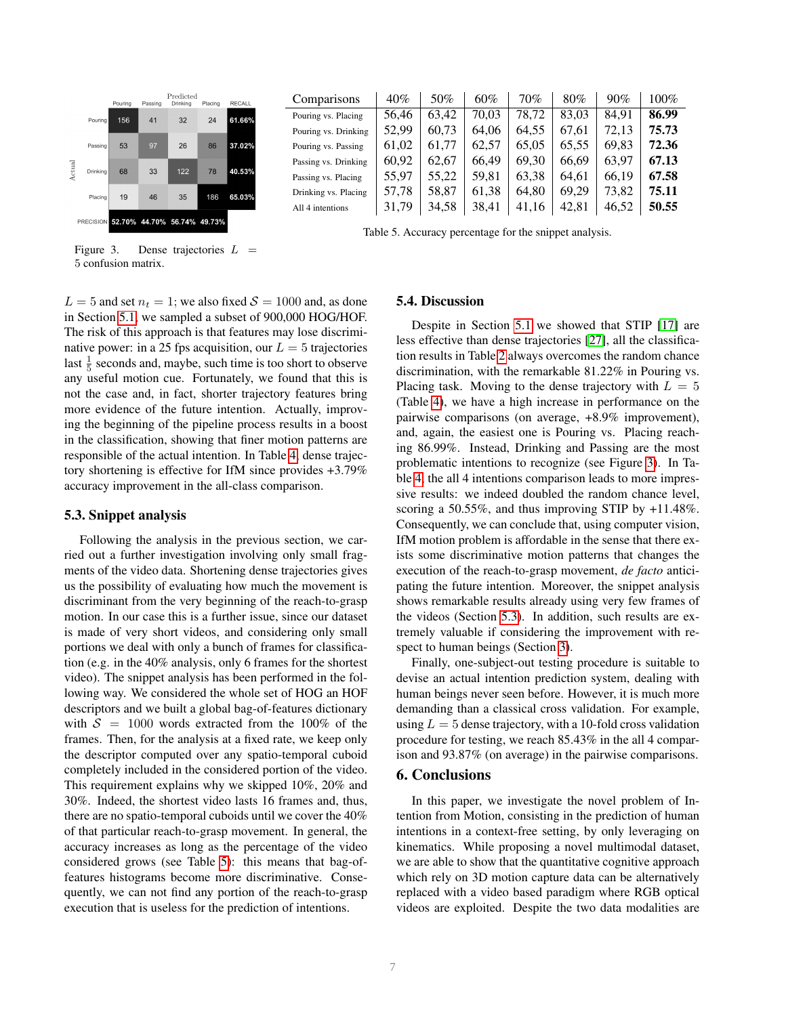

|                      |       | 50%   | 60%   | 70%   | 80%   | 90%   | $100\%$ |
|----------------------|-------|-------|-------|-------|-------|-------|---------|
| Comparisons          | 40%   |       |       |       |       |       |         |
| Pouring vs. Placing  | 56.46 | 63,42 | 70.03 | 78.72 | 83.03 | 84.91 | 86.99   |
| Pouring vs. Drinking | 52.99 | 60,73 | 64.06 | 64.55 | 67.61 | 72,13 | 75.73   |
| Pouring vs. Passing  | 61,02 | 61,77 | 62,57 | 65,05 | 65,55 | 69,83 | 72.36   |
| Passing vs. Drinking | 60,92 | 62.67 | 66.49 | 69.30 | 66,69 | 63.97 | 67.13   |
| Passing vs. Placing  | 55,97 | 55,22 | 59,81 | 63,38 | 64.61 | 66.19 | 67.58   |
| Drinking vs. Placing | 57,78 | 58,87 | 61,38 | 64.80 | 69.29 | 73,82 | 75.11   |
| All 4 intentions     | 31,79 | 34,58 | 38,41 | 41,16 | 42,81 | 46,52 | 50.55   |
|                      |       |       |       |       |       |       |         |

<span id="page-6-3"></span>Table 5. Accuracy percentage for the snippet analysis.

<span id="page-6-4"></span>Figure 3. Dense trajectories  $L =$ 5 confusion matrix.

 $L = 5$  and set  $n_t = 1$ ; we also fixed  $S = 1000$  and, as done in Section [5.1,](#page-4-4) we sampled a subset of 900,000 HOG/HOF. The risk of this approach is that features may lose discriminative power: in a 25 fps acquisition, our  $L = 5$  trajectories last  $\frac{1}{5}$  seconds and, maybe, such time is too short to observe any useful motion cue. Fortunately, we found that this is not the case and, in fact, shorter trajectory features bring more evidence of the future intention. Actually, improving the beginning of the pipeline process results in a boost in the classification, showing that finer motion patterns are responsible of the actual intention. In Table [4,](#page-5-6) dense trajectory shortening is effective for IfM since provides +3.79% accuracy improvement in the all-class comparison.

## <span id="page-6-1"></span>5.3. Snippet analysis

Following the analysis in the previous section, we carried out a further investigation involving only small fragments of the video data. Shortening dense trajectories gives us the possibility of evaluating how much the movement is discriminant from the very beginning of the reach-to-grasp motion. In our case this is a further issue, since our dataset is made of very short videos, and considering only small portions we deal with only a bunch of frames for classification (e.g. in the 40% analysis, only 6 frames for the shortest video). The snippet analysis has been performed in the following way. We considered the whole set of HOG an HOF descriptors and we built a global bag-of-features dictionary with  $S = 1000$  words extracted from the 100% of the frames. Then, for the analysis at a fixed rate, we keep only the descriptor computed over any spatio-temporal cuboid completely included in the considered portion of the video. This requirement explains why we skipped 10%, 20% and 30%. Indeed, the shortest video lasts 16 frames and, thus, there are no spatio-temporal cuboids until we cover the 40% of that particular reach-to-grasp movement. In general, the accuracy increases as long as the percentage of the video considered grows (see Table [5\)](#page-6-3): this means that bag-offeatures histograms become more discriminative. Consequently, we can not find any portion of the reach-to-grasp execution that is useless for the prediction of intentions.

### <span id="page-6-2"></span>5.4. Discussion

Despite in Section [5.1](#page-4-4) we showed that STIP [\[17\]](#page-7-0) are less effective than dense trajectories [\[27\]](#page-7-1), all the classification results in Table [2](#page-5-4) always overcomes the random chance discrimination, with the remarkable 81.22% in Pouring vs. Placing task. Moving to the dense trajectory with  $L = 5$ (Table [4\)](#page-5-6), we have a high increase in performance on the pairwise comparisons (on average, +8.9% improvement), and, again, the easiest one is Pouring vs. Placing reaching 86.99%. Instead, Drinking and Passing are the most problematic intentions to recognize (see Figure [3\)](#page-6-4). In Table [4,](#page-5-6) the all 4 intentions comparison leads to more impressive results: we indeed doubled the random chance level, scoring a 50.55%, and thus improving STIP by +11.48%. Consequently, we can conclude that, using computer vision, IfM motion problem is affordable in the sense that there exists some discriminative motion patterns that changes the execution of the reach-to-grasp movement, *de facto* anticipating the future intention. Moreover, the snippet analysis shows remarkable results already using very few frames of the videos (Section [5.3\)](#page-6-1). In addition, such results are extremely valuable if considering the improvement with respect to human beings (Section [3\)](#page-4-0).

Finally, one-subject-out testing procedure is suitable to devise an actual intention prediction system, dealing with human beings never seen before. However, it is much more demanding than a classical cross validation. For example, using  $L = 5$  dense trajectory, with a 10-fold cross validation procedure for testing, we reach 85.43% in the all 4 comparison and 93.87% (on average) in the pairwise comparisons.

# <span id="page-6-0"></span>6. Conclusions

In this paper, we investigate the novel problem of Intention from Motion, consisting in the prediction of human intentions in a context-free setting, by only leveraging on kinematics. While proposing a novel multimodal dataset, we are able to show that the quantitative cognitive approach which rely on 3D motion capture data can be alternatively replaced with a video based paradigm where RGB optical videos are exploited. Despite the two data modalities are